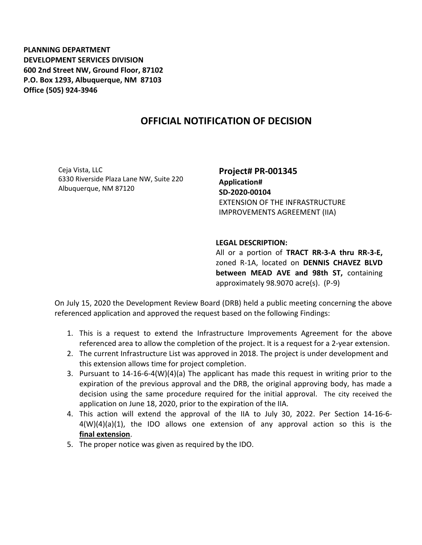**PLANNING DEPARTMENT DEVELOPMENT SERVICES DIVISION 600 2nd Street NW, Ground Floor, 87102 P.O. Box 1293, Albuquerque, NM 87103 Office (505) 924-3946** 

## **OFFICIAL NOTIFICATION OF DECISION**

Ceja Vista, LLC 6330 Riverside Plaza Lane NW, Suite 220 Albuquerque, NM 87120

**Project# PR-001345 Application# SD-2020-00104** EXTENSION OF THE INFRASTRUCTURE IMPROVEMENTS AGREEMENT (IIA)

## **LEGAL DESCRIPTION:**

All or a portion of **TRACT RR-3-A thru RR-3-E,**  zoned R-1A, located on **DENNIS CHAVEZ BLVD between MEAD AVE and 98th ST,** containing approximately 98.9070 acre(s). (P-9)

On July 15, 2020 the Development Review Board (DRB) held a public meeting concerning the above referenced application and approved the request based on the following Findings:

- 1. This is a request to extend the Infrastructure Improvements Agreement for the above referenced area to allow the completion of the project. It is a request for a 2-year extension.
- 2. The current Infrastructure List was approved in 2018. The project is under development and this extension allows time for project completion.
- 3. Pursuant to 14-16-6-4(W)(4)(a) The applicant has made this request in writing prior to the expiration of the previous approval and the DRB, the original approving body, has made a decision using the same procedure required for the initial approval. The city received the application on June 18, 2020, prior to the expiration of the IIA.
- 4. This action will extend the approval of the IIA to July 30, 2022. Per Section 14-16-6-  $4(W)(4)(a)(1)$ , the IDO allows one extension of any approval action so this is the **final extension**.
- 5. The proper notice was given as required by the IDO.